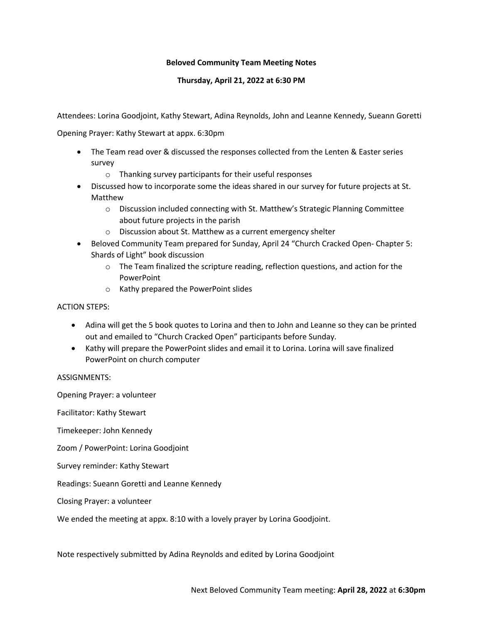## **Beloved Community Team Meeting Notes**

## **Thursday, April 21, 2022 at 6:30 PM**

Attendees: Lorina Goodjoint, Kathy Stewart, Adina Reynolds, John and Leanne Kennedy, Sueann Goretti

Opening Prayer: Kathy Stewart at appx. 6:30pm

- The Team read over & discussed the responses collected from the Lenten & Easter series survey
	- o Thanking survey participants for their useful responses
- Discussed how to incorporate some the ideas shared in our survey for future projects at St. Matthew
	- o Discussion included connecting with St. Matthew's Strategic Planning Committee about future projects in the parish
	- o Discussion about St. Matthew as a current emergency shelter
- Beloved Community Team prepared for Sunday, April 24 "Church Cracked Open- Chapter 5: Shards of Light" book discussion
	- o The Team finalized the scripture reading, reflection questions, and action for the **PowerPoint**
	- o Kathy prepared the PowerPoint slides

## ACTION STEPS:

- Adina will get the 5 book quotes to Lorina and then to John and Leanne so they can be printed out and emailed to "Church Cracked Open" participants before Sunday.
- Kathy will prepare the PowerPoint slides and email it to Lorina. Lorina will save finalized PowerPoint on church computer

## ASSIGNMENTS:

Opening Prayer: a volunteer Facilitator: Kathy Stewart Timekeeper: John Kennedy Zoom / PowerPoint: Lorina Goodjoint Survey reminder: Kathy Stewart

Readings: Sueann Goretti and Leanne Kennedy

Closing Prayer: a volunteer

We ended the meeting at appx. 8:10 with a lovely prayer by Lorina Goodjoint.

Note respectively submitted by Adina Reynolds and edited by Lorina Goodjoint